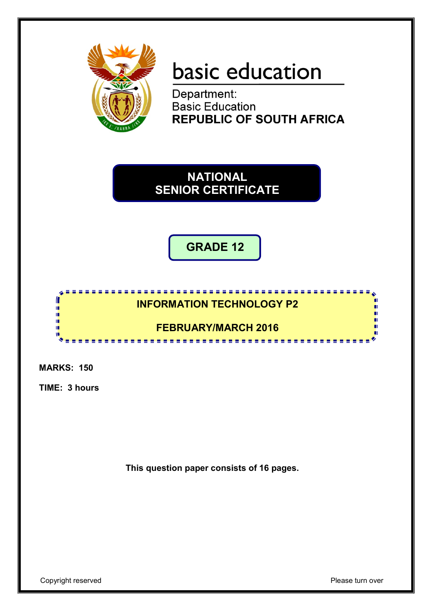

# basic education

Department: **Basic Education REPUBLIC OF SOUTH AFRICA** 

**NATIONAL SENIOR CERTIFICATE**

**GRADE 12**



**MARKS: 150**

**TIME: 3 hours**

**This question paper consists of 16 pages.**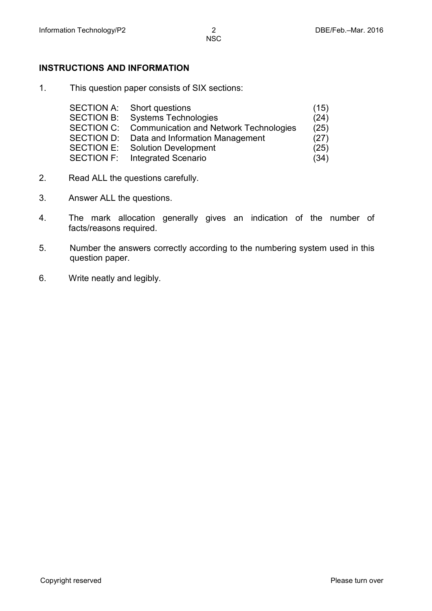#### **INSTRUCTIONS AND INFORMATION**

1. This question paper consists of SIX sections:

| <b>SECTION A:</b> | Short questions                               | (15) |
|-------------------|-----------------------------------------------|------|
| <b>SECTION B:</b> | <b>Systems Technologies</b>                   | (24) |
| <b>SECTION C:</b> | <b>Communication and Network Technologies</b> | (25) |
| SECTION D:        | Data and Information Management               | (27) |
| <b>SECTION E:</b> | <b>Solution Development</b>                   | (25) |
| <b>SECTION F:</b> | <b>Integrated Scenario</b>                    | (34) |
|                   |                                               |      |

- 2. Read ALL the questions carefully.
- 3. Answer ALL the questions.
- 4. The mark allocation generally gives an indication of the number of facts/reasons required.
- 5. Number the answers correctly according to the numbering system used in this question paper.
- 6. Write neatly and legibly.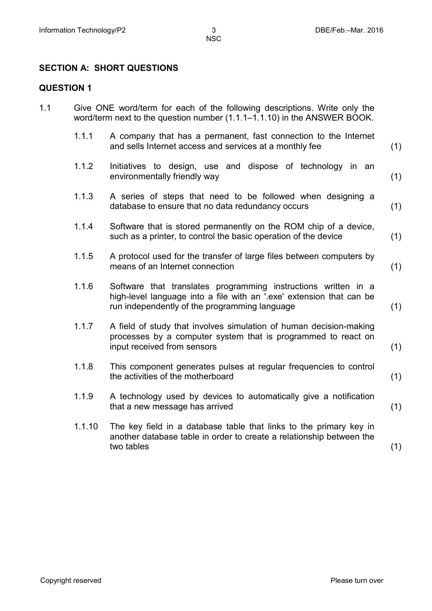## **SECTION A: SHORT QUESTIONS**

### **QUESTION 1**

| 1.1 |        | Give ONE word/term for each of the following descriptions. Write only the<br>word/term next to the question number (1.1.1-1.1.10) in the ANSWER BOOK.                                   |     |
|-----|--------|-----------------------------------------------------------------------------------------------------------------------------------------------------------------------------------------|-----|
|     | 1.1.1  | A company that has a permanent, fast connection to the Internet<br>and sells Internet access and services at a monthly fee                                                              | (1) |
|     | 1.1.2  | Initiatives to design, use and dispose of technology in an<br>environmentally friendly way                                                                                              | (1) |
|     | 1.1.3  | A series of steps that need to be followed when designing a<br>database to ensure that no data redundancy occurs                                                                        | (1) |
|     | 1.1.4  | Software that is stored permanently on the ROM chip of a device,<br>such as a printer, to control the basic operation of the device                                                     | (1) |
|     | 1.1.5  | A protocol used for the transfer of large files between computers by<br>means of an Internet connection                                                                                 | (1) |
|     | 1.1.6  | Software that translates programming instructions written in a<br>high-level language into a file with an '.exe' extension that can be<br>run independently of the programming language | (1) |
|     | 1.1.7  | A field of study that involves simulation of human decision-making<br>processes by a computer system that is programmed to react on<br>input received from sensors                      | (1) |
|     | 1.1.8  | This component generates pulses at regular frequencies to control<br>the activities of the motherboard                                                                                  | (1) |
|     | 1.1.9  | A technology used by devices to automatically give a notification<br>that a new message has arrived                                                                                     | (1) |
|     | 1.1.10 | The key field in a database table that links to the primary key in<br>another database table in order to create a relationship between the<br>two tables                                | (1) |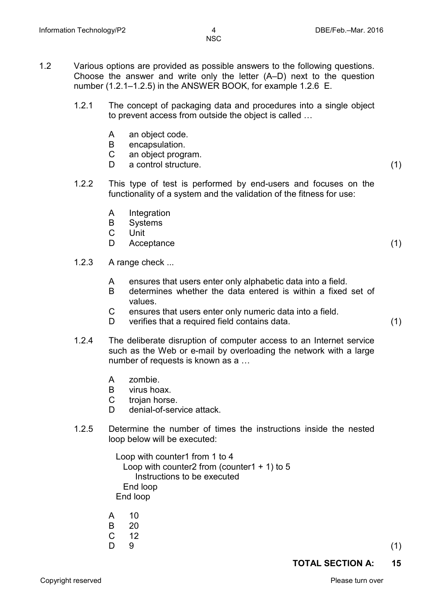- 1.2 Various options are provided as possible answers to the following questions. Choose the answer and write only the letter (A–D) next to the question number (1.2.1–1.2.5) in the ANSWER BOOK, for example 1.2.6 E.
	- 1.2.1 The concept of packaging data and procedures into a single object to prevent access from outside the object is called …
		- A an object code.
		- B encapsulation.<br>C an object progr
		- C an object program.<br>D a control structure
		- a control structure. (1)
	- 1.2.2 This type of test is performed by end-users and focuses on the functionality of a system and the validation of the fitness for use:
		- A Integration<br>B Systems
		- B Systems<br>C Unit
		- C Unit<br>D Acce
		- Acceptance (1) (1)
	- 1.2.3 A range check ...
		- A ensures that users enter only alphabetic data into a field.<br>B determines whether the data entered is within a fixed
		- determines whether the data entered is within a fixed set of values.
		- C ensures that users enter only numeric data into a field.<br>D verifies that a required field contains data
		- verifies that a required field contains data. (1)
	- 1.2.4 The deliberate disruption of computer access to an Internet service such as the Web or e-mail by overloading the network with a large number of requests is known as a …
		- A zombie.
		- B virus hoax.
		- C trojan horse.
		- D denial-of-service attack.
	- 1.2.5 Determine the number of times the instructions inside the nested loop below will be executed:

 Loop with counter1 from 1 to 4 Loop with counter2 from (counter1  $+$  1) to 5 Instructions to be executed End loop End loop

- A 10
- 
- B 20<br>C 12  $12$
- $D \quad 9$  (1)

**TOTAL SECTION A: 15**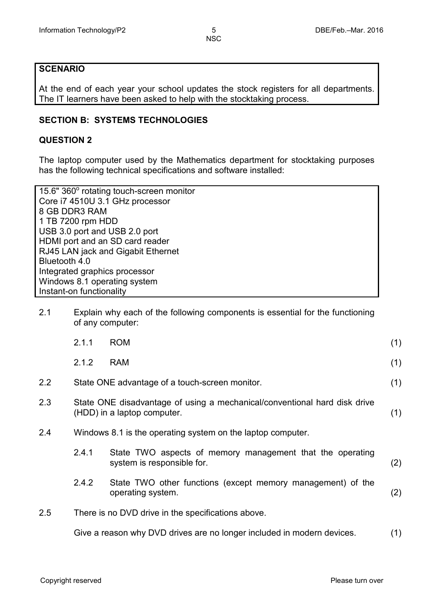#### **SCENARIO**

At the end of each year your school updates the stock registers for all departments. The IT learners have been asked to help with the stocktaking process.

#### **SECTION B: SYSTEMS TECHNOLOGIES**

#### **QUESTION 2**

The laptop computer used by the Mathematics department for stocktaking purposes has the following technical specifications and software installed:

| 15.6" 360° rotating touch-screen monitor |
|------------------------------------------|
| Core i7 4510U 3.1 GHz processor          |
| 8 GB DDR3 RAM                            |
| 1 TB 7200 rpm HDD                        |
| USB 3.0 port and USB 2.0 port            |
| HDMI port and an SD card reader          |
| RJ45 LAN jack and Gigabit Ethernet       |
| Bluetooth 4.0                            |
| Integrated graphics processor            |
| Windows 8.1 operating system             |
| Instant-on functionality                 |

2.1 Explain why each of the following components is essential for the functioning of any computer:

|         | 2.1.1 | <b>ROM</b>                                                                                               | (1) |
|---------|-------|----------------------------------------------------------------------------------------------------------|-----|
|         | 2.1.2 | <b>RAM</b>                                                                                               | (1) |
| $2.2\,$ |       | State ONE advantage of a touch-screen monitor.                                                           | (1) |
| 2.3     |       | State ONE disadvantage of using a mechanical/conventional hard disk drive<br>(HDD) in a laptop computer. | (1) |
| 2.4     |       | Windows 8.1 is the operating system on the laptop computer.                                              |     |
|         | 2.4.1 | State TWO aspects of memory management that the operating<br>system is responsible for.                  | (2) |
|         | 2.4.2 | State TWO other functions (except memory management) of the<br>operating system.                         | (2) |
| $2.5\,$ |       | There is no DVD drive in the specifications above.                                                       |     |
|         |       | Give a reason why DVD drives are no longer included in modern devices.                                   | (1) |
|         |       |                                                                                                          |     |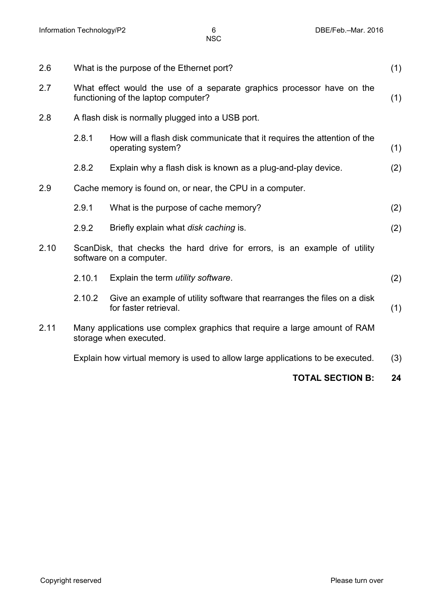| 2.6  | What is the purpose of the Ethernet port?<br>(1)                                                              |                                                                                                      |     |
|------|---------------------------------------------------------------------------------------------------------------|------------------------------------------------------------------------------------------------------|-----|
| 2.7  | What effect would the use of a separate graphics processor have on the<br>functioning of the laptop computer? |                                                                                                      | (1) |
| 2.8  |                                                                                                               | A flash disk is normally plugged into a USB port.                                                    |     |
|      | 2.8.1                                                                                                         | How will a flash disk communicate that it requires the attention of the<br>operating system?         | (1) |
|      | 2.8.2                                                                                                         | Explain why a flash disk is known as a plug-and-play device.                                         | (2) |
| 2.9  |                                                                                                               | Cache memory is found on, or near, the CPU in a computer.                                            |     |
|      | 2.9.1                                                                                                         | What is the purpose of cache memory?                                                                 | (2) |
|      | 2.9.2                                                                                                         | Briefly explain what disk caching is.                                                                | (2) |
| 2.10 |                                                                                                               | ScanDisk, that checks the hard drive for errors, is an example of utility<br>software on a computer. |     |
|      | 2.10.1                                                                                                        | Explain the term <i>utility</i> software.                                                            | (2) |
|      | 2.10.2                                                                                                        | Give an example of utility software that rearranges the files on a disk<br>for faster retrieval.     | (1) |
| 2.11 |                                                                                                               | Many applications use complex graphics that require a large amount of RAM<br>storage when executed.  |     |
|      |                                                                                                               | Explain how virtual memory is used to allow large applications to be executed.                       | (3) |

#### **TOTAL SECTION B: 24**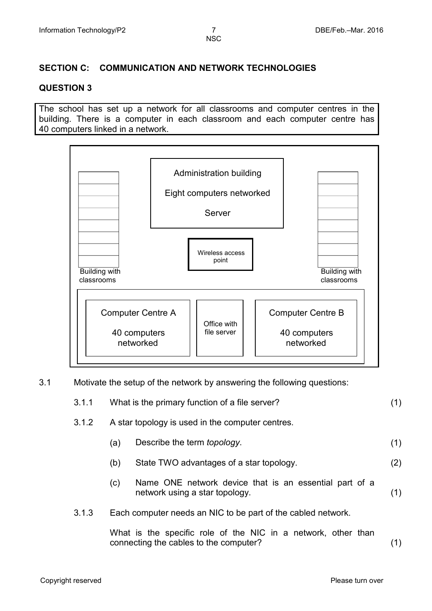#### **SECTION C: COMMUNICATION AND NETWORK TECHNOLOGIES**

#### **QUESTION 3**

The school has set up a network for all classrooms and computer centres in the building. There is a computer in each classroom and each computer centre has 40 computers linked in a network.



3.1 Motivate the setup of the network by answering the following questions:

| 3.1.1 | What is the primary function of a file server? |  |
|-------|------------------------------------------------|--|
|       |                                                |  |

#### 3.1.2 A star topology is used in the computer centres.

- (a) Describe the term *topology*. (1)
- (b) State TWO advantages of a star topology. (2)
- (c) Name ONE network device that is an essential part of a network using a star topology. (1)
- 3.1.3 Each computer needs an NIC to be part of the cabled network.

What is the specific role of the NIC in a network, other than connecting the cables to the computer? (1)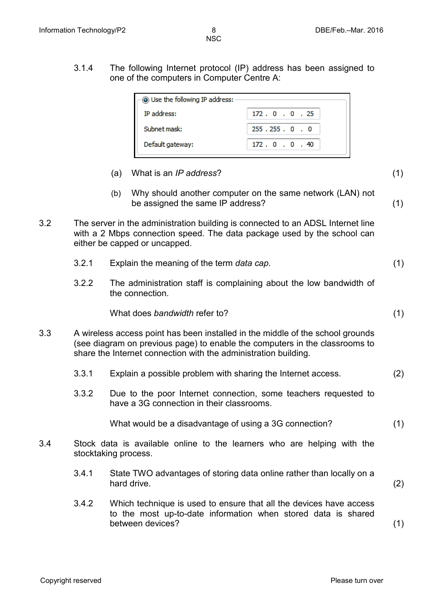(1)

3.1.4 The following Internet protocol (IP) address has been assigned to one of the computers in Computer Centre A:

| (a) Use the following IP address: |  |  |  |  |
|-----------------------------------|--|--|--|--|
| 172.0.0.25                        |  |  |  |  |
| 255.255.0.0                       |  |  |  |  |
| 172.0.0.40                        |  |  |  |  |
|                                   |  |  |  |  |

- (a) What is an *IP address*?
- (b) Why should another computer on the same network (LAN) not be assigned the same IP address? (1)
- 3.2 The server in the administration building is connected to an ADSL Internet line with a 2 Mbps connection speed. The data package used by the school can either be capped or uncapped.
	- 3.2.1 Explain the meaning of the term *data cap.* (1)
	- 3.2.2 The administration staff is complaining about the low bandwidth of the connection.

What does *bandwidth* refer to? (1)

- 3.3 A wireless access point has been installed in the middle of the school grounds (see diagram on previous page) to enable the computers in the classrooms to share the Internet connection with the administration building.
	- 3.3.1 Explain a possible problem with sharing the Internet access. (2)
	- 3.3.2 Due to the poor Internet connection, some teachers requested to have a 3G connection in their classrooms.

What would be a disadvantage of using a 3G connection? (1)

- 3.4 Stock data is available online to the learners who are helping with the stocktaking process.
	- 3.4.1 State TWO advantages of storing data online rather than locally on a hard drive. (2)
	- 3.4.2 Which technique is used to ensure that all the devices have access to the most up-to-date information when stored data is shared between devices? (1)

Copyright reserved **Please turn over the Copyright reserved** Please turn over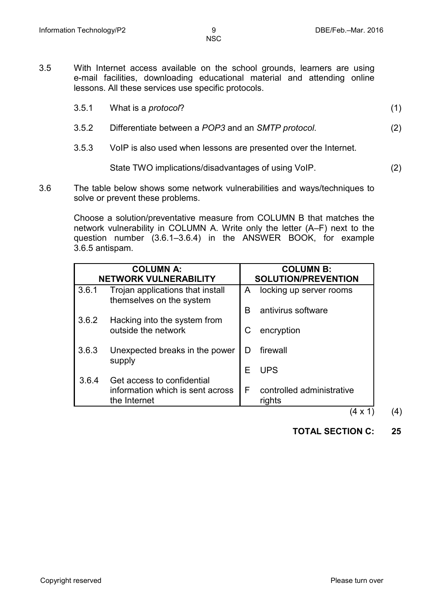3.5 With Internet access available on the school grounds, learners are using e-mail facilities, downloading educational material and attending online lessons. All these services use specific protocols.

| 3.5.1 | What is a <i>protocol</i> ?                        |     |
|-------|----------------------------------------------------|-----|
| 3.5.2 | Differentiate between a POP3 and an SMTP protocol. | (2) |

3.5.3 VoIP is also used when lessons are presented over the Internet.

State TWO implications/disadvantages of using VoIP. (2)

3.6 The table below shows some network vulnerabilities and ways/techniques to solve or prevent these problems.

> Choose a solution/preventative measure from COLUMN B that matches the network vulnerability in COLUMN A. Write only the letter (A–F) next to the question number (3.6.1–3.6.4) in the ANSWER BOOK, for example 3.6.5 antispam.

| <b>COLUMN A:</b><br><b>NETWORK VULNERABILITY</b> |                                                              |   | <b>COLUMN B:</b><br><b>SOLUTION/PREVENTION</b> |  |
|--------------------------------------------------|--------------------------------------------------------------|---|------------------------------------------------|--|
| 3.6.1                                            | Trojan applications that install<br>themselves on the system | A | locking up server rooms                        |  |
|                                                  |                                                              | R | antivirus software                             |  |
| 3.6.2                                            | Hacking into the system from                                 |   |                                                |  |
|                                                  | outside the network                                          | С | encryption                                     |  |
|                                                  |                                                              |   |                                                |  |
| 3.6.3                                            | Unexpected breaks in the power                               | D | firewall                                       |  |
|                                                  | supply                                                       |   |                                                |  |
|                                                  |                                                              | Е | <b>UPS</b>                                     |  |
| 3.6.4                                            | Get access to confidential                                   |   |                                                |  |
|                                                  | information which is sent across                             | F | controlled administrative                      |  |
|                                                  | the Internet                                                 |   | rights                                         |  |

 $(4 \times 1)$  (4)

**TOTAL SECTION C: 25**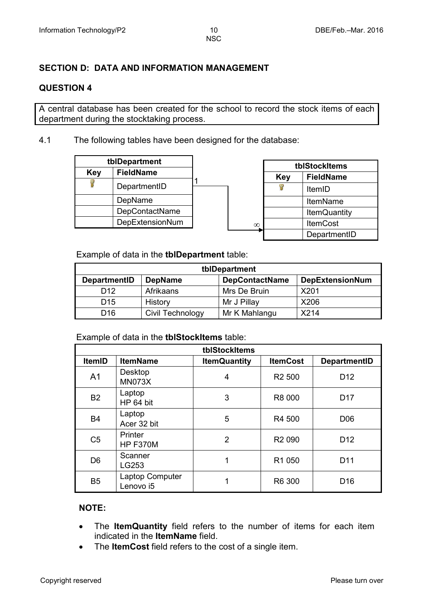#### **SECTION D: DATA AND INFORMATION MANAGEMENT**

#### **QUESTION 4**

A central database has been created for the school to record the stock items of each department during the stocktaking process.

4.1 The following tables have been designed for the database:

| tblDepartment           |                 |  |
|-------------------------|-----------------|--|
| <b>FieldName</b><br>Key |                 |  |
|                         | DepartmentID    |  |
|                         | DepName         |  |
|                         | DepContactName  |  |
|                         | DepExtensionNum |  |

|          | tblStockItems                  |                 |  |
|----------|--------------------------------|-----------------|--|
|          | <b>FieldName</b><br><b>Key</b> |                 |  |
|          |                                | ItemID          |  |
|          |                                | <b>ItemName</b> |  |
|          | <b>ItemQuantity</b>            |                 |  |
| $\infty$ | <b>ItemCost</b>                |                 |  |
|          | DepartmentID                   |                 |  |

Example of data in the **tblDepartment** table:

| tblDepartment                                                                            |                  |               |      |  |  |
|------------------------------------------------------------------------------------------|------------------|---------------|------|--|--|
| <b>DepContactName</b><br><b>DepExtensionNum</b><br><b>DepartmentID</b><br><b>DepName</b> |                  |               |      |  |  |
| D <sub>12</sub>                                                                          | Afrikaans        | Mrs De Bruin  | X201 |  |  |
| D <sub>15</sub>                                                                          | History          | Mr J Pillay   | X206 |  |  |
| D <sub>16</sub>                                                                          | Civil Technology | Mr K Mahlangu | X214 |  |  |

#### Example of data in the **tblStockItems** table:

| tblStockItems  |                              |                     |                    |                     |  |  |  |
|----------------|------------------------------|---------------------|--------------------|---------------------|--|--|--|
| <b>ItemID</b>  | <b>ItemName</b>              | <b>ItemQuantity</b> | <b>ItemCost</b>    | <b>DepartmentID</b> |  |  |  |
| A <sub>1</sub> | Desktop<br><b>MN073X</b>     | 4                   | R <sub>2</sub> 500 | D <sub>12</sub>     |  |  |  |
| <b>B2</b>      | Laptop<br>HP 64 bit          | 3                   | R8 000             | D <sub>17</sub>     |  |  |  |
| <b>B4</b>      | Laptop<br>Acer 32 bit        | 5                   | R4 500             | D <sub>06</sub>     |  |  |  |
| C <sub>5</sub> | Printer<br><b>HP F370M</b>   | $\overline{2}$      | R <sub>2</sub> 090 | D <sub>12</sub>     |  |  |  |
| D <sub>6</sub> | Scanner<br>LG253             | 1                   | R1 050             | D <sub>11</sub>     |  |  |  |
| B <sub>5</sub> | Laptop Computer<br>Lenovo i5 |                     | R6 300             | D <sub>16</sub>     |  |  |  |

#### **NOTE:**

- The **ItemQuantity** field refers to the number of items for each item indicated in the **ItemName** field.
- The **ItemCost** field refers to the cost of a single item.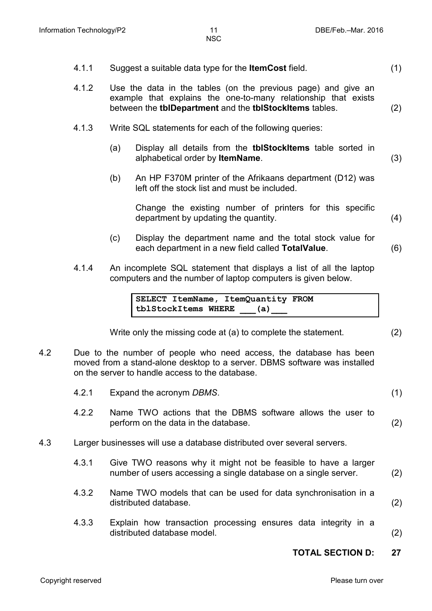- 4.1.1 Suggest a suitable data type for the **ItemCost** field. (1)
- 4.1.2 Use the data in the tables (on the previous page) and give an example that explains the one-to-many relationship that exists between the **tblDepartment** and the **tblStockItems** tables. (2)
- 4.1.3 Write SQL statements for each of the following queries:
	- (a) Display all details from the **tblStockItems** table sorted in alphabetical order by **ItemName**. (3)
	- (b) An HP F370M printer of the Afrikaans department (D12) was left off the stock list and must be included.

Change the existing number of printers for this specific department by updating the quantity. (4)

- (c) Display the department name and the total stock value for each department in a new field called **TotalValue**. (6)
- 4.1.4 An incomplete SQL statement that displays a list of all the laptop computers and the number of laptop computers is given below.

**SELECT ItemName, ItemQuantity FROM tblStockItems WHERE \_\_\_(a)\_\_\_**

Write only the missing code at (a) to complete the statement. (2)

- 4.2 Due to the number of people who need access, the database has been moved from a stand-alone desktop to a server. DBMS software was installed on the server to handle access to the database.
- 4.2.1 Expand the acronym *DBMS*. (1) 4.2.2 Name TWO actions that the DBMS software allows the user to perform on the data in the database. (2) 4.3 Larger businesses will use a database distributed over several servers. 4.3.1 Give TWO reasons why it might not be feasible to have a larger number of users accessing a single database on a single server. (2) 4.3.2 Name TWO models that can be used for data synchronisation in a distributed database. (2) 4.3.3 Explain how transaction processing ensures data integrity in a distributed database model. (2)

**TOTAL SECTION D: 27**

Copyright reserved **Please turn over the Copyright reserved** Please turn over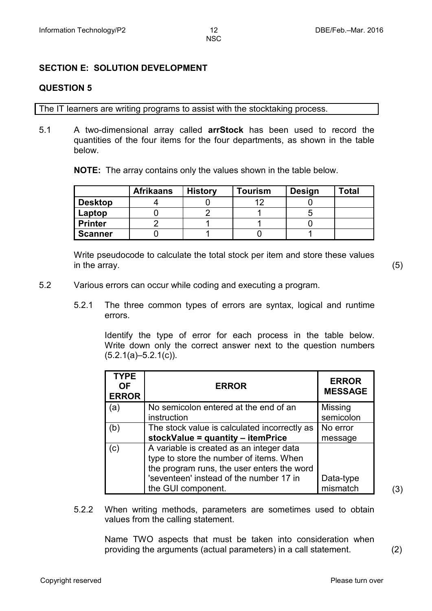#### **SECTION E: SOLUTION DEVELOPMENT**

#### **QUESTION 5**

The IT learners are writing programs to assist with the stocktaking process.

5.1 A two-dimensional array called **arrStock** has been used to record the quantities of the four items for the four departments, as shown in the table below.

**NOTE:** The array contains only the values shown in the table below.

|                | <b>Afrikaans</b> | <b>History</b> | <b>Tourism</b> | <b>Design</b> | Total |
|----------------|------------------|----------------|----------------|---------------|-------|
| <b>Desktop</b> |                  |                | 10             |               |       |
| Laptop         |                  |                |                |               |       |
| <b>Printer</b> |                  |                |                |               |       |
| <b>Scanner</b> |                  |                |                |               |       |

Write pseudocode to calculate the total stock per item and store these values in the array. (5)

- 5.2 Various errors can occur while coding and executing a program.
	- 5.2.1 The three common types of errors are syntax, logical and runtime errors.

Identify the type of error for each process in the table below. Write down only the correct answer next to the question numbers  $(5.2.1(a)-5.2.1(c)).$ 

| <b>TYPE</b><br>OF.<br><b>ERROR</b> | <b>ERROR</b>                                                                                                                      | <b>ERROR</b><br><b>MESSAGE</b> |
|------------------------------------|-----------------------------------------------------------------------------------------------------------------------------------|--------------------------------|
| (a)                                | No semicolon entered at the end of an<br>instruction                                                                              | <b>Missing</b><br>semicolon    |
| (b)                                | The stock value is calculated incorrectly as<br>stockValue = quantity - itemPrice                                                 | No error<br>message            |
| (c)                                | A variable is created as an integer data<br>type to store the number of items. When<br>the program runs, the user enters the word |                                |
|                                    | 'seventeen' instead of the number 17 in<br>the GUI component.                                                                     | Data-type<br>mismatch          |

 $(3)$ 

5.2.2 When writing methods, parameters are sometimes used to obtain values from the calling statement.

> Name TWO aspects that must be taken into consideration when providing the arguments (actual parameters) in a call statement. (2)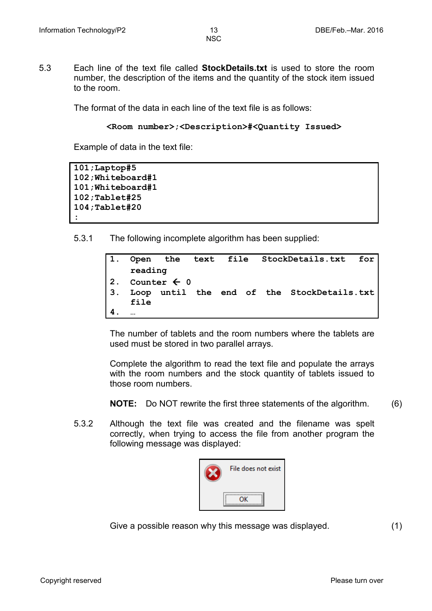- 
- 5.3 Each line of the text file called **StockDetails.txt** is used to store the room number, the description of the items and the quantity of the stock item issued to the room.

The format of the data in each line of the text file is as follows:

```
<Room number>;<Description>#<Quantity Issued>
```
Example of data in the text file:

```
101;Laptop#5
102;Whiteboard#1
101;Whiteboard#1
102;Tablet#25
104;Tablet#20
:
```
5.3.1 The following incomplete algorithm has been supplied:

| $\mathbf{1}$ . |           |                        |  |  | Open the text file StockDetails.txt for    |  |
|----------------|-----------|------------------------|--|--|--------------------------------------------|--|
|                | reading   |                        |  |  |                                            |  |
| 2.             |           | Counter $\leftarrow$ 0 |  |  |                                            |  |
| 3.             |           |                        |  |  | Loop until the end of the StockDetails.txt |  |
|                | file      |                        |  |  |                                            |  |
|                | $\ddotsc$ |                        |  |  |                                            |  |

The number of tablets and the room numbers where the tablets are used must be stored in two parallel arrays.

Complete the algorithm to read the text file and populate the arrays with the room numbers and the stock quantity of tablets issued to those room numbers.

**NOTE:** Do NOT rewrite the first three statements of the algorithm. (6)

5.3.2 Although the text file was created and the filename was spelt correctly, when trying to access the file from another program the following message was displayed:



Give a possible reason why this message was displayed. (1)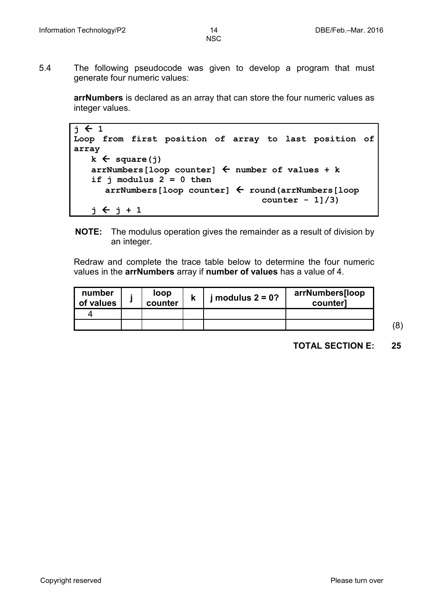5.4 The following pseudocode was given to develop a program that must generate four numeric values:

> **arrNumbers** is declared as an array that can store the four numeric values as integer values.

```
\mathbf{i} \leftarrow 1Loop from first position of array to last position of 
array
   k \leftarrow square(j)arrNumbers[loop counter]  number of values + k
   if j modulus 2 = 0 then
       arrNumbers[loop counter]  round(arrNumbers[loop
                                        counter - 1]/3)
   j \leftarrow j + 1
```
**NOTE:** The modulus operation gives the remainder as a result of division by an integer.

Redraw and complete the trace table below to determine the four numeric values in the **arrNumbers** array if **number of values** has a value of 4.

| number<br>of values | loop<br>counter | modulus $2 = 0$ ? | arrNumbers[loop<br>counter] |
|---------------------|-----------------|-------------------|-----------------------------|
|                     |                 |                   |                             |
|                     |                 |                   |                             |

(8)

**TOTAL SECTION E: 25**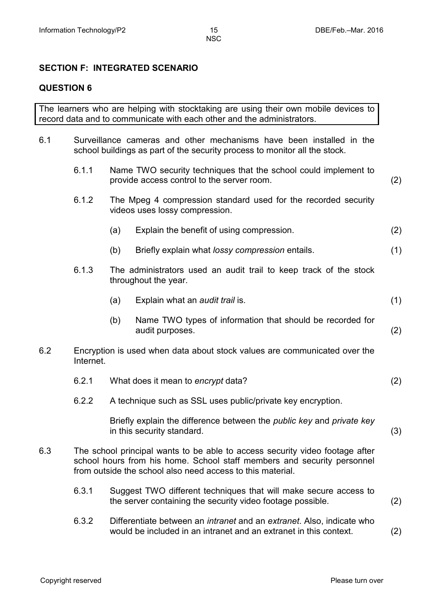#### **SECTION F: INTEGRATED SCENARIO**

#### **QUESTION 6**

The learners who are helping with stocktaking are using their own mobile devices to record data and to communicate with each other and the administrators.

6.1 Surveillance cameras and other mechanisms have been installed in the school buildings as part of the security process to monitor all the stock.

| 6.1.1 | provide access control to the server room.                                                       |                                                                              |                                                                                                                                                                                                                                                                                                                                                                                                                                                                                                                                                                                                                                                                                                                                                                                                                                |  |  |
|-------|--------------------------------------------------------------------------------------------------|------------------------------------------------------------------------------|--------------------------------------------------------------------------------------------------------------------------------------------------------------------------------------------------------------------------------------------------------------------------------------------------------------------------------------------------------------------------------------------------------------------------------------------------------------------------------------------------------------------------------------------------------------------------------------------------------------------------------------------------------------------------------------------------------------------------------------------------------------------------------------------------------------------------------|--|--|
| 6.1.2 | The Mpeg 4 compression standard used for the recorded security<br>videos uses lossy compression. |                                                                              |                                                                                                                                                                                                                                                                                                                                                                                                                                                                                                                                                                                                                                                                                                                                                                                                                                |  |  |
|       | (a)                                                                                              | Explain the benefit of using compression.                                    | (2)                                                                                                                                                                                                                                                                                                                                                                                                                                                                                                                                                                                                                                                                                                                                                                                                                            |  |  |
|       | (b)                                                                                              | Briefly explain what lossy compression entails.                              | (1)                                                                                                                                                                                                                                                                                                                                                                                                                                                                                                                                                                                                                                                                                                                                                                                                                            |  |  |
| 6.1.3 |                                                                                                  |                                                                              |                                                                                                                                                                                                                                                                                                                                                                                                                                                                                                                                                                                                                                                                                                                                                                                                                                |  |  |
|       | (a)                                                                                              | Explain what an audit trail is.                                              | (1)                                                                                                                                                                                                                                                                                                                                                                                                                                                                                                                                                                                                                                                                                                                                                                                                                            |  |  |
|       | (b)                                                                                              | Name TWO types of information that should be recorded for<br>audit purposes. | (2)                                                                                                                                                                                                                                                                                                                                                                                                                                                                                                                                                                                                                                                                                                                                                                                                                            |  |  |
|       |                                                                                                  |                                                                              |                                                                                                                                                                                                                                                                                                                                                                                                                                                                                                                                                                                                                                                                                                                                                                                                                                |  |  |
| 6.2.1 |                                                                                                  |                                                                              | (2)                                                                                                                                                                                                                                                                                                                                                                                                                                                                                                                                                                                                                                                                                                                                                                                                                            |  |  |
| 6.2.2 |                                                                                                  |                                                                              |                                                                                                                                                                                                                                                                                                                                                                                                                                                                                                                                                                                                                                                                                                                                                                                                                                |  |  |
|       |                                                                                                  |                                                                              | (3)                                                                                                                                                                                                                                                                                                                                                                                                                                                                                                                                                                                                                                                                                                                                                                                                                            |  |  |
|       |                                                                                                  |                                                                              |                                                                                                                                                                                                                                                                                                                                                                                                                                                                                                                                                                                                                                                                                                                                                                                                                                |  |  |
| 6.3.1 |                                                                                                  |                                                                              | (2)                                                                                                                                                                                                                                                                                                                                                                                                                                                                                                                                                                                                                                                                                                                                                                                                                            |  |  |
|       |                                                                                                  | Internet.                                                                    | Name TWO security techniques that the school could implement to<br>The administrators used an audit trail to keep track of the stock<br>throughout the year.<br>Encryption is used when data about stock values are communicated over the<br>What does it mean to encrypt data?<br>A technique such as SSL uses public/private key encryption.<br>Briefly explain the difference between the <i>public key</i> and <i>private key</i><br>in this security standard.<br>The school principal wants to be able to access security video footage after<br>school hours from his home. School staff members and security personnel<br>from outside the school also need access to this material.<br>Suggest TWO different techniques that will make secure access to<br>the server containing the security video footage possible. |  |  |

6.3.2 Differentiate between an *intranet* and an *extranet*. Also, indicate who would be included in an intranet and an extranet in this context. (2)